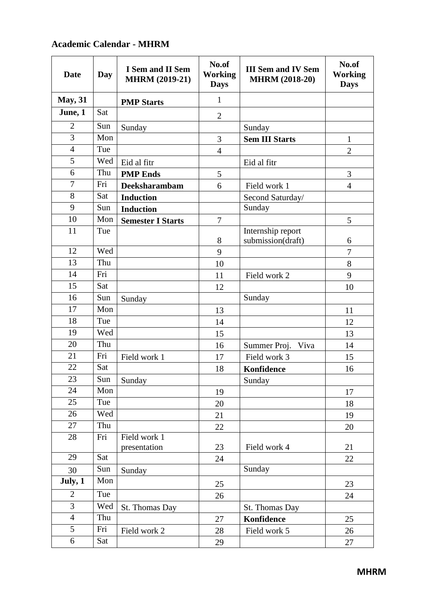## **Academic Calendar - MHRM**

| <b>Date</b>      | Day | <b>I</b> Sem and <b>II</b> Sem<br><b>MHRM (2019-21)</b> | No.of<br><b>Working</b><br><b>Days</b> | <b>III Sem and IV Sem</b><br><b>MHRM (2018-20)</b> | No.of<br><b>Working</b><br><b>Days</b> |
|------------------|-----|---------------------------------------------------------|----------------------------------------|----------------------------------------------------|----------------------------------------|
| <b>May</b> , 31  |     | <b>PMP Starts</b>                                       | $\mathbf{1}$                           |                                                    |                                        |
| June, 1          | Sat |                                                         | $\mathbf{2}$                           |                                                    |                                        |
| $\overline{2}$   | Sun | Sunday                                                  |                                        | Sunday                                             |                                        |
| 3                | Mon |                                                         | 3                                      | <b>Sem III Starts</b>                              | 1                                      |
| $\overline{4}$   | Tue |                                                         | $\overline{4}$                         |                                                    | $\overline{2}$                         |
| 5                | Wed | Eid al fitr                                             |                                        | Eid al fitr                                        |                                        |
| 6                | Thu | <b>PMP</b> Ends                                         | 5                                      |                                                    | 3                                      |
| 7                | Fri | <b>Deeksharambam</b>                                    | 6                                      | Field work 1                                       | $\overline{4}$                         |
| 8                | Sat | <b>Induction</b>                                        |                                        | Second Saturday/                                   |                                        |
| 9                | Sun | <b>Induction</b>                                        |                                        | Sunday                                             |                                        |
| 10               | Mon | <b>Semester I Starts</b>                                | $\overline{7}$                         |                                                    | 5                                      |
| 11               | Tue |                                                         | 8                                      | Internship report<br>submission(draft)             | 6                                      |
| 12               | Wed |                                                         | 9                                      |                                                    | $\overline{7}$                         |
| 13               | Thu |                                                         | 10                                     |                                                    | 8                                      |
| 14               | Fri |                                                         | 11                                     | Field work 2                                       | 9                                      |
| 15               | Sat |                                                         | 12                                     |                                                    | 10                                     |
| 16               | Sun | Sunday                                                  |                                        | Sunday                                             |                                        |
| 17               | Mon |                                                         | 13                                     |                                                    | 11                                     |
| 18               | Tue |                                                         | 14                                     |                                                    | 12                                     |
| 19               | Wed |                                                         | 15                                     |                                                    | 13                                     |
| 20               | Thu |                                                         | 16                                     | Summer Proj.<br>Viva                               | 14                                     |
| 21               | Fri | Field work 1                                            | 17                                     | Field work 3                                       | 15                                     |
| 22               | Sat |                                                         | 18                                     | Konfidence                                         | 16                                     |
| 23               | Sun | Sunday                                                  |                                        | Sunday                                             |                                        |
| 24               | Mon |                                                         | 19                                     |                                                    | 17                                     |
| 25               | Tue |                                                         | 20                                     |                                                    | 18                                     |
| 26               | Wed |                                                         | 21                                     |                                                    | 19                                     |
| 27               | Thu |                                                         | 22                                     |                                                    | 20                                     |
| 28               | Fri | Field work 1<br>presentation                            | 23                                     | Field work 4                                       | 21                                     |
| 29               | Sat |                                                         | 24                                     |                                                    | 22                                     |
| 30               | Sun | Sunday                                                  |                                        | Sunday                                             |                                        |
| July, 1          | Mon |                                                         | 25                                     |                                                    | 23                                     |
| $\overline{2}$   | Tue |                                                         | 26                                     |                                                    | 24                                     |
| 3                | Wed | St. Thomas Day                                          |                                        | St. Thomas Day                                     |                                        |
| $\overline{4}$   | Thu |                                                         | 27                                     | Konfidence                                         | 25                                     |
| 5                | Fri | Field work 2                                            | 28                                     | Field work 5                                       | 26                                     |
| $\boldsymbol{6}$ | Sat |                                                         | 29                                     |                                                    | 27                                     |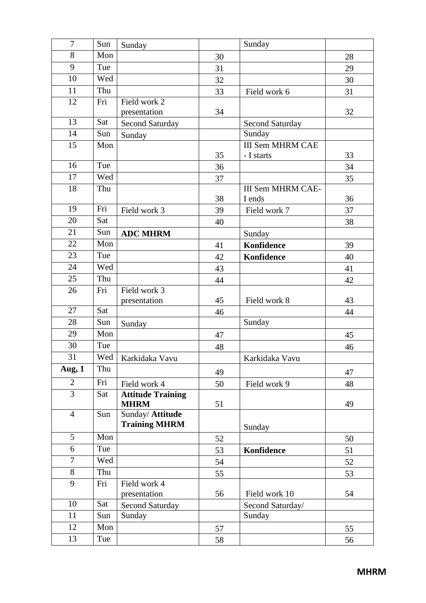| $\overline{7}$ | Sun | Sunday                   |    | Sunday                   |    |
|----------------|-----|--------------------------|----|--------------------------|----|
| 8              | Mon |                          | 30 |                          | 28 |
| 9              | Tue |                          | 31 |                          | 29 |
| 10             | Wed |                          | 32 |                          | 30 |
| 11             | Thu |                          | 33 | Field work 6             | 31 |
| 12             | Fri | Field work 2             |    |                          |    |
|                |     | presentation             | 34 |                          | 32 |
| 13             | Sat | <b>Second Saturday</b>   |    | <b>Second Saturday</b>   |    |
| 14             | Sun | Sunday                   |    | Sunday                   |    |
| 15             | Mon |                          |    | <b>III Sem MHRM CAE</b>  |    |
|                |     |                          | 35 | - I starts               | 33 |
| 16             | Tue |                          | 36 |                          | 34 |
| 17             | Wed |                          | 37 |                          | 35 |
| 18             | Thu |                          |    | <b>III Sem MHRM CAE-</b> |    |
|                |     |                          | 38 | I ends                   | 36 |
| 19             | Fri | Field work 3             | 39 | Field work 7             | 37 |
| 20             | Sat |                          | 40 |                          | 38 |
| 21             | Sun | <b>ADC MHRM</b>          |    | Sunday                   |    |
| 22             | Mon |                          | 41 | Konfidence               | 39 |
| 23             | Tue |                          | 42 | Konfidence               | 40 |
| 24             | Wed |                          | 43 |                          | 41 |
| 25             | Thu |                          | 44 |                          | 42 |
| 26             | Fri | Field work 3             |    |                          |    |
|                |     | presentation             | 45 | Field work 8             | 43 |
| 27             | Sat |                          | 46 |                          | 44 |
| 28             | Sun | Sunday                   |    | Sunday                   |    |
| 29             | Mon |                          | 47 |                          | 45 |
| 30             | Tue |                          | 48 |                          | 46 |
| 31             |     | Wed   Karkidaka Vavu     |    | Karkidaka Vavu           |    |
| Aug, 1         | Thu |                          | 49 |                          | 47 |
| 2              | Fri | Field work 4             | 50 | Field work 9             | 48 |
| $\overline{3}$ | Sat | <b>Attitude Training</b> |    |                          |    |
|                |     | <b>MHRM</b>              | 51 |                          | 49 |
| $\overline{4}$ | Sun | Sunday/ Attitude         |    |                          |    |
|                |     | <b>Training MHRM</b>     |    | Sunday                   |    |
| 5              | Mon |                          | 52 |                          | 50 |
| 6              | Tue |                          | 53 | Konfidence               | 51 |
| $\overline{7}$ | Wed |                          | 54 |                          | 52 |
| 8              | Thu |                          | 55 |                          | 53 |
| 9              | Fri | Field work 4             |    |                          |    |
|                |     | presentation             | 56 | Field work 10            | 54 |
| 10             | Sat | <b>Second Saturday</b>   |    | Second Saturday/         |    |
| 11             | Sun | Sunday                   |    | Sunday                   |    |
| 12             | Mon |                          | 57 |                          | 55 |
| 13             | Tue |                          | 58 |                          | 56 |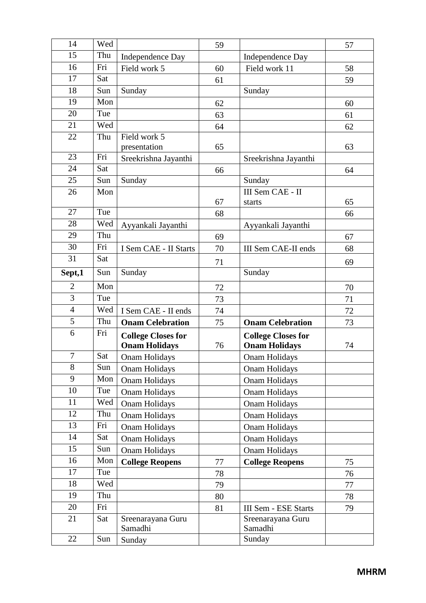| 14             | Wed |                           | 59 |                           | 57 |
|----------------|-----|---------------------------|----|---------------------------|----|
| 15             | Thu | Independence Day          |    | Independence Day          |    |
| 16             | Fri | Field work 5              | 60 | Field work 11             | 58 |
| 17             | Sat |                           | 61 |                           | 59 |
| 18             | Sun | Sunday                    |    | Sunday                    |    |
| 19             | Mon |                           | 62 |                           | 60 |
| 20             | Tue |                           | 63 |                           | 61 |
| 21             | Wed |                           | 64 |                           | 62 |
| 22             | Thu | Field work 5              |    |                           |    |
|                |     | presentation              | 65 |                           | 63 |
| 23             | Fri | Sreekrishna Jayanthi      |    | Sreekrishna Jayanthi      |    |
| 24             | Sat |                           | 66 |                           | 64 |
| 25             | Sun | Sunday                    |    | Sunday                    |    |
| 26             | Mon |                           |    | III Sem CAE - II          |    |
|                |     |                           | 67 | starts                    | 65 |
| 27             | Tue |                           | 68 |                           | 66 |
| 28             | Wed | Ayyankali Jayanthi        |    | Ayyankali Jayanthi        |    |
| 29             | Thu |                           | 69 |                           | 67 |
| 30             | Fri | I Sem CAE - II Starts     | 70 | III Sem CAE-II ends       | 68 |
| 31             | Sat |                           | 71 |                           | 69 |
| Sept,1         | Sun | Sunday                    |    | Sunday                    |    |
| $\overline{2}$ | Mon |                           | 72 |                           | 70 |
| 3              | Tue |                           | 73 |                           | 71 |
| $\overline{4}$ | Wed | I Sem CAE - II ends       | 74 |                           | 72 |
| 5              | Thu | <b>Onam Celebration</b>   | 75 | <b>Onam Celebration</b>   | 73 |
| 6              | Fri | <b>College Closes for</b> |    | <b>College Closes for</b> |    |
|                |     | <b>Onam Holidays</b>      | 76 | <b>Onam Holidays</b>      | 74 |
| $\overline{7}$ | Sat | Onam Holidays             |    | Onam Holidays             |    |
| 8              | Sun | Onam Holidays             |    | Onam Holidays             |    |
| 9              | Mon | Onam Holidays             |    | Onam Holidays             |    |
| 10             | Tue | <b>Onam Holidays</b>      |    | Onam Holidays             |    |
| 11             | Wed | Onam Holidays             |    | Onam Holidays             |    |
| 12             | Thu | Onam Holidays             |    | Onam Holidays             |    |
| 13             | Fri | Onam Holidays             |    | Onam Holidays             |    |
| 14             | Sat | <b>Onam Holidays</b>      |    | <b>Onam Holidays</b>      |    |
| 15             | Sun | Onam Holidays             |    | Onam Holidays             |    |
| 16             | Mon | <b>College Reopens</b>    | 77 | <b>College Reopens</b>    | 75 |
| 17             | Tue |                           | 78 |                           | 76 |
| 18             | Wed |                           | 79 |                           | 77 |
| 19             | Thu |                           | 80 |                           | 78 |
| 20             | Fri |                           | 81 | III Sem - ESE Starts      | 79 |
| 21             | Sat | Sreenarayana Guru         |    | Sreenarayana Guru         |    |
|                |     | Samadhi                   |    | Samadhi                   |    |
| 22             | Sun | Sunday                    |    | Sunday                    |    |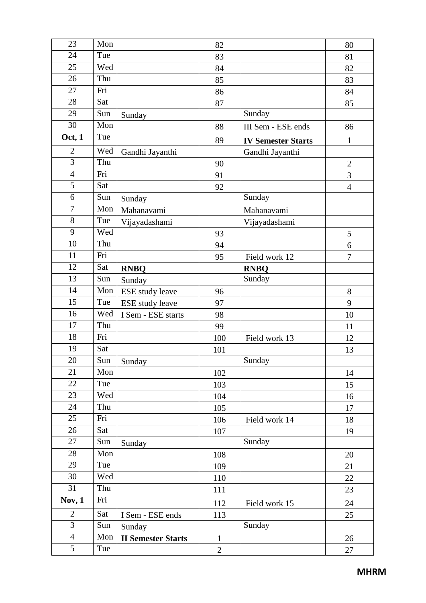| 23             | Mon |                           | 82             |                           | 80             |
|----------------|-----|---------------------------|----------------|---------------------------|----------------|
| 24             | Tue |                           | 83             |                           | 81             |
| 25             | Wed |                           | 84             |                           | 82             |
| 26             | Thu |                           | 85             |                           | 83             |
| 27             | Fri |                           | 86             |                           | 84             |
| 28             | Sat |                           | 87             |                           | 85             |
| 29             | Sun | Sunday                    |                | Sunday                    |                |
| 30             | Mon |                           | 88             | III Sem - ESE ends        | 86             |
| Oct, 1         | Tue |                           | 89             | <b>IV Semester Starts</b> | $\mathbf{1}$   |
| $\overline{2}$ | Wed | Gandhi Jayanthi           |                | Gandhi Jayanthi           |                |
| $\overline{3}$ | Thu |                           | 90             |                           | $\overline{2}$ |
| $\overline{4}$ | Fri |                           | 91             |                           | 3              |
| 5              | Sat |                           | 92             |                           | $\overline{4}$ |
| $\overline{6}$ | Sun | Sunday                    |                | Sunday                    |                |
| $\overline{7}$ | Mon | Mahanavami                |                | Mahanavami                |                |
| 8              | Tue | Vijayadashami             |                | Vijayadashami             |                |
| 9              | Wed |                           | 93             |                           | 5              |
| 10             | Thu |                           | 94             |                           | 6              |
| 11             | Fri |                           | 95             | Field work 12             | 7              |
| 12             | Sat | <b>RNBQ</b>               |                | <b>RNBQ</b>               |                |
| 13             | Sun | Sunday                    |                | Sunday                    |                |
| 14             | Mon | <b>ESE</b> study leave    | 96             |                           | 8              |
| 15             | Tue | ESE study leave           | 97             |                           | 9              |
| 16             | Wed | I Sem - ESE starts        | 98             |                           | 10             |
| 17             | Thu |                           | 99             |                           | 11             |
| 18             | Fri |                           | 100            | Field work 13             | 12             |
| 19             | Sat |                           | 101            |                           | 13             |
| 20             | Sun | Sunday                    |                | Sunday                    |                |
| 21             | Mon |                           | 102            |                           | 14             |
| 22             | Tue |                           | 103            |                           | 15             |
| 23             | Wed |                           | 104            |                           | 16             |
| 24             | Thu |                           | 105            |                           | 17             |
| 25             | Fri |                           | 106            | Field work 14             | 18             |
| 26             | Sat |                           | 107            |                           | 19             |
| 27             | Sun | Sunday                    |                | Sunday                    |                |
| 28             | Mon |                           | 108            |                           | 20             |
| 29             | Tue |                           | 109            |                           | 21             |
| 30             | Wed |                           | 110            |                           | 22             |
| 31             | Thu |                           | 111            |                           | 23             |
| Nov, 1         | Fri |                           | 112            | Field work 15             | 24             |
| $\overline{2}$ | Sat | I Sem - ESE ends          | 113            |                           | 25             |
| $\overline{3}$ | Sun | Sunday                    |                | Sunday                    |                |
| $\overline{4}$ | Mon | <b>II Semester Starts</b> | $\mathbf{1}$   |                           | 26             |
| 5              | Tue |                           | $\overline{2}$ |                           | 27             |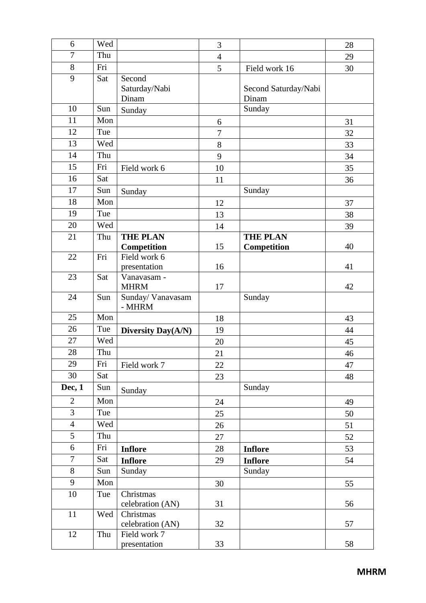| 6              | Wed |                              | 3              |                      | 28 |
|----------------|-----|------------------------------|----------------|----------------------|----|
| $\overline{7}$ | Thu |                              | $\overline{4}$ |                      | 29 |
| 8              | Fri |                              | 5              | Field work 16        | 30 |
| 9              | Sat | Second                       |                |                      |    |
|                |     | Saturday/Nabi                |                | Second Saturday/Nabi |    |
|                |     | Dinam                        |                | Dinam                |    |
| 10             | Sun | Sunday                       |                | Sunday               |    |
| 11             | Mon |                              | 6              |                      | 31 |
| 12             | Tue |                              | $\overline{7}$ |                      | 32 |
| 13             | Wed |                              | 8              |                      | 33 |
| 14             | Thu |                              | 9              |                      | 34 |
| 15             | Fri | Field work 6                 | 10             |                      | 35 |
| 16             | Sat |                              | 11             |                      | 36 |
| 17             | Sun | Sunday                       |                | Sunday               |    |
| 18             | Mon |                              | 12             |                      | 37 |
| 19             | Tue |                              | 13             |                      | 38 |
| 20             | Wed |                              | 14             |                      | 39 |
| 21             | Thu | <b>THE PLAN</b>              |                | <b>THE PLAN</b>      |    |
|                |     | <b>Competition</b>           | 15             | Competition          | 40 |
| 22             | Fri | Field work 6                 |                |                      |    |
|                |     | presentation                 | 16             |                      | 41 |
| 23             | Sat | Vanavasam -                  |                |                      |    |
| 24             | Sun | <b>MHRM</b>                  | 17             | Sunday               | 42 |
|                |     | Sunday/Vanavasam<br>$-$ MHRM |                |                      |    |
| 25             | Mon |                              | 18             |                      | 43 |
| 26             | Tue | Diversity Day(A/N)           | 19             |                      | 44 |
| 27             | Wed |                              | 20             |                      | 45 |
| 28             | Thu |                              | 21             |                      | 46 |
| 29             | Fri | Field work 7                 | 22             |                      | 47 |
| 30             | Sat |                              |                |                      |    |
| Dec, 1         | Sun |                              | 23             | Sunday               | 48 |
|                |     | Sunday                       |                |                      |    |
| $\mathfrak{2}$ | Mon |                              | 24             |                      | 49 |
| $\overline{3}$ | Tue |                              | 25             |                      | 50 |
| $\overline{4}$ | Wed |                              | 26             |                      | 51 |
| 5              | Thu |                              | 27             |                      | 52 |
| 6              | Fri | <b>Inflore</b>               | 28             | <b>Inflore</b>       | 53 |
| $\overline{7}$ | Sat | <b>Inflore</b>               | 29             | <b>Inflore</b>       | 54 |
| 8              | Sun | Sunday                       |                | Sunday               |    |
| 9              | Mon |                              | 30             |                      | 55 |
| 10             | Tue | Christmas                    |                |                      |    |
|                |     | celebration (AN)             | 31             |                      | 56 |
| 11             | Wed | Christmas                    |                |                      |    |
|                |     | celebration (AN)             | 32             |                      | 57 |
| 12             | Thu | Field work 7<br>presentation | 33             |                      | 58 |
|                |     |                              |                |                      |    |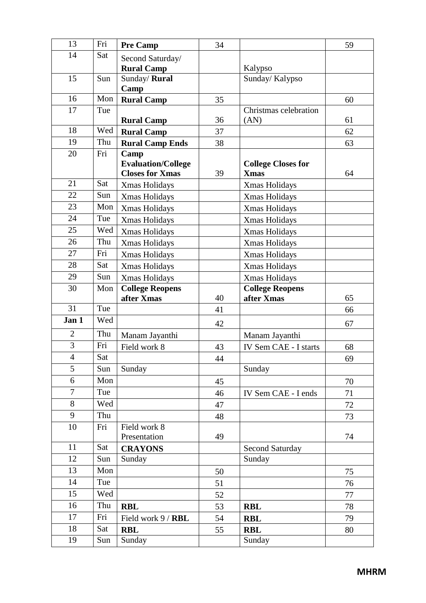| 13             | Fri | <b>Pre Camp</b>           | 34 |                              | 59 |
|----------------|-----|---------------------------|----|------------------------------|----|
| 14             | Sat | Second Saturday/          |    |                              |    |
|                |     | <b>Rural Camp</b>         |    | Kalypso                      |    |
| 15             | Sun | Sunday/ Rural             |    | Sunday/Kalypso               |    |
|                |     | Camp                      |    |                              |    |
| 16             | Mon | <b>Rural Camp</b>         | 35 |                              | 60 |
| 17             | Tue |                           |    | Christmas celebration        |    |
|                |     | <b>Rural Camp</b>         | 36 | (AN)                         | 61 |
| 18             | Wed | <b>Rural Camp</b>         | 37 |                              | 62 |
| 19             | Thu | <b>Rural Camp Ends</b>    | 38 |                              | 63 |
| 20             | Fri | Camp                      |    |                              |    |
|                |     | <b>Evaluation/College</b> | 39 | <b>College Closes for</b>    | 64 |
| 21             | Sat | <b>Closes for Xmas</b>    |    | <b>X</b> mas                 |    |
| 22             | Sun | Xmas Holidays             |    | Xmas Holidays                |    |
| 23             | Mon | Xmas Holidays             |    | Xmas Holidays                |    |
| 24             | Tue | Xmas Holidays             |    | Xmas Holidays                |    |
|                |     | Xmas Holidays             |    | Xmas Holidays                |    |
| 25             | Wed | Xmas Holidays             |    | Xmas Holidays                |    |
| 26             | Thu | Xmas Holidays             |    | Xmas Holidays                |    |
| 27             | Fri | Xmas Holidays             |    | Xmas Holidays                |    |
| 28             | Sat | Xmas Holidays             |    | Xmas Holidays                |    |
| 29             | Sun | Xmas Holidays             |    | Xmas Holidays                |    |
| 30             | Mon | <b>College Reopens</b>    |    |                              |    |
|                |     |                           |    | <b>College Reopens</b>       |    |
|                |     | after Xmas                | 40 | after Xmas                   | 65 |
| 31             | Tue |                           | 41 |                              | 66 |
| Jan 1          | Wed |                           | 42 |                              | 67 |
| $\overline{2}$ | Thu | Manam Jayanthi            |    | Manam Jayanthi               |    |
| $\overline{3}$ | Fri | Field work 8              | 43 | <b>IV Sem CAE - I starts</b> | 68 |
| $\overline{4}$ | Sat |                           | 44 |                              | 69 |
| 5              | Sun | Sunday                    |    | Sunday                       |    |
| 6              | Mon |                           | 45 |                              | 70 |
| 7              | Tue |                           | 46 | IV Sem CAE - I ends          | 71 |
| 8              | Wed |                           | 47 |                              | 72 |
| 9              | Thu |                           | 48 |                              | 73 |
| 10             | Fri | Field work 8              |    |                              |    |
|                |     | Presentation              | 49 |                              | 74 |
| 11             | Sat | <b>CRAYONS</b>            |    | <b>Second Saturday</b>       |    |
| 12             | Sun | Sunday                    |    | Sunday                       |    |
| 13             | Mon |                           | 50 |                              | 75 |
| 14             | Tue |                           | 51 |                              | 76 |
| 15             | Wed |                           | 52 |                              | 77 |
| 16             | Thu | <b>RBL</b>                | 53 | <b>RBL</b>                   | 78 |
| 17             | Fri | Field work 9 / RBL        | 54 | <b>RBL</b>                   | 79 |
| 18             | Sat | <b>RBL</b>                | 55 | <b>RBL</b>                   | 80 |